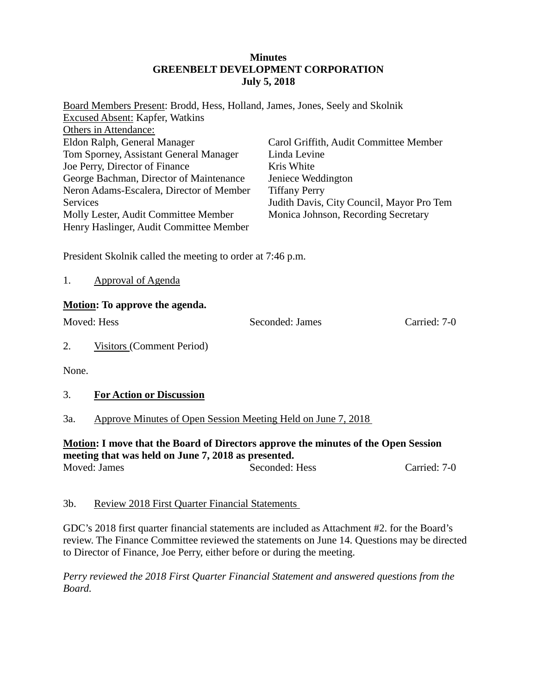#### **Minutes GREENBELT DEVELOPMENT CORPORATION July 5, 2018**

| Board Members Present: Brodd, Hess, Holland, James, Jones, Seely and Skolnik |                                           |
|------------------------------------------------------------------------------|-------------------------------------------|
| <b>Excused Absent: Kapfer, Watkins</b>                                       |                                           |
| Others in Attendance:                                                        |                                           |
| Eldon Ralph, General Manager                                                 | Carol Griffith, Audit Committee Member    |
| Tom Sporney, Assistant General Manager                                       | Linda Levine                              |
| Joe Perry, Director of Finance                                               | Kris White                                |
| George Bachman, Director of Maintenance                                      | Jeniece Weddington                        |
| Neron Adams-Escalera, Director of Member                                     | <b>Tiffany Perry</b>                      |
| Services                                                                     | Judith Davis, City Council, Mayor Pro Tem |
| Molly Lester, Audit Committee Member                                         | Monica Johnson, Recording Secretary       |
| Henry Haslinger, Audit Committee Member                                      |                                           |

President Skolnik called the meeting to order at 7:46 p.m.

1. Approval of Agenda

#### **Motion: To approve the agenda.**

Moved: Hess Seconded: James Carried: 7-0

2. Visitors (Comment Period)

None.

## 3. **For Action or Discussion**

## 3a. Approve Minutes of Open Session Meeting Held on June 7, 2018

#### **Motion: I move that the Board of Directors approve the minutes of the Open Session meeting that was held on June 7, 2018 as presented.**

Moved: James Seconded: Hess Carried: 7-0

## 3b. Review 2018 First Quarter Financial Statements

GDC's 2018 first quarter financial statements are included as Attachment #2. for the Board's review. The Finance Committee reviewed the statements on June 14. Questions may be directed to Director of Finance, Joe Perry, either before or during the meeting.

*Perry reviewed the 2018 First Quarter Financial Statement and answered questions from the Board.*